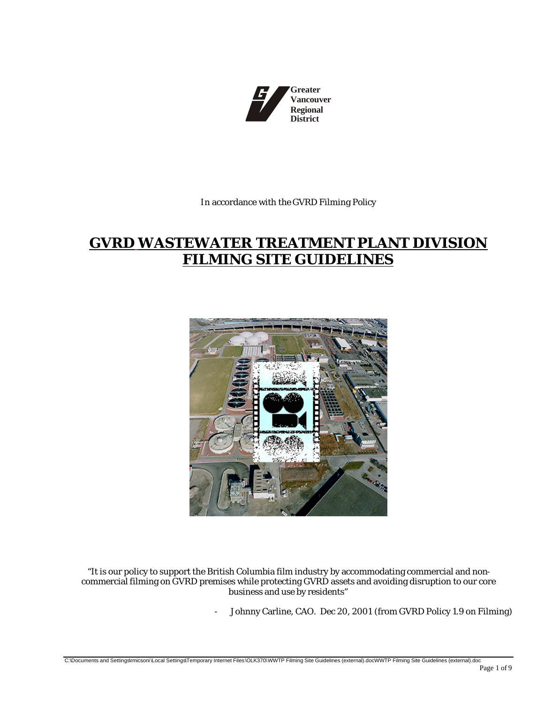

In accordance with the GVRD Filming Policy

# **GVRD WASTEWATER TREATMENT PLANT DIVISION FILMING SITE GUIDELINES**



"It is our policy to support the British Columbia film industry by accommodating commercial and noncommercial filming on GVRD premises while protecting GVRD assets and avoiding disruption to our core business and use by residents"

- Johnny Carline, CAO. Dec 20, 2001 (from GVRD Policy 1.9 on Filming)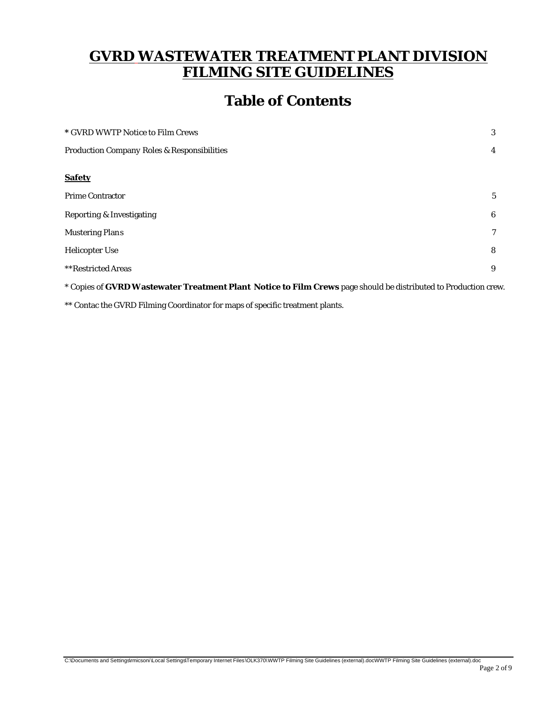# **GVRD WASTEWATER TREATMENT PLANT DIVISION FILMING SITE GUIDELINES**

# **Table of Contents**

| * GVRD WWTP Notice to Film Crews            |                 |
|---------------------------------------------|-----------------|
| Production Company Roles & Responsibilities |                 |
| <b>Safety</b>                               |                 |
| Prime Contractor                            | $5\overline{)}$ |
| Reporting & Investigating                   | 6               |
| <b>Mustering Plans</b>                      | $\tau$          |
| Helicopter Use                              | 8               |
| **Restricted Areas                          | 9               |
|                                             |                 |

\* Copies of **GVRD Wastewater Treatment Plant Notice to Film Crews** page should be distributed to Production crew.

\*\* Contac the GVRD Filming Coordinator for maps of specific treatment plants.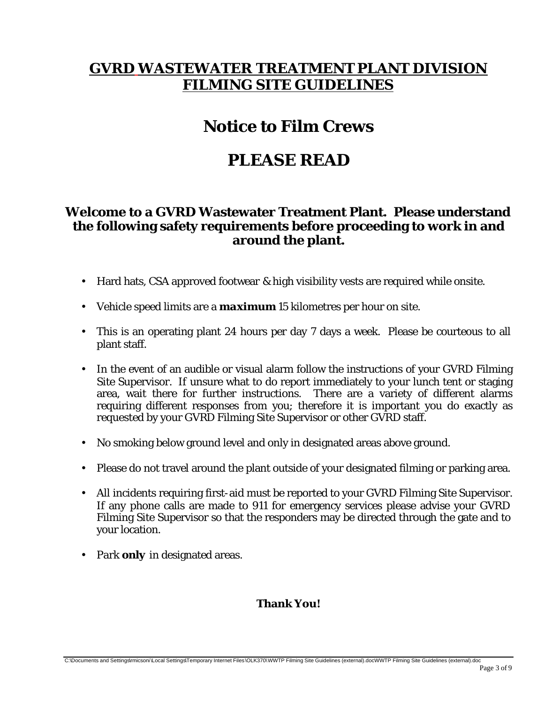# **GVRD WASTEWATER TREATMENT PLANT DIVISION FILMING SITE GUIDELINES**

# **Notice to Film Crews**

# **PLEASE READ**

#### **Welcome to a GVRD Wastewater Treatment Plant. Please understand the following safety requirements before proceeding to work in and around the plant.**

- Hard hats, CSA approved footwear & high visibility vests are required while onsite.
- Vehicle speed limits are a *maximum* 15 kilometres per hour on site.
- This is an operating plant 24 hours per day 7 days a week. Please be courteous to all plant staff.
- In the event of an audible or visual alarm follow the instructions of your GVRD Filming Site Supervisor. If unsure what to do report immediately to your lunch tent or staging area, wait there for further instructions. There are a variety of different alarms requiring different responses from you; therefore it is important you do exactly as requested by your GVRD Filming Site Supervisor or other GVRD staff.
- No smoking below ground level and only in designated areas above ground.
- Please do not travel around the plant outside of your designated filming or parking area.
- All incidents requiring first-aid must be reported to your GVRD Filming Site Supervisor. If any phone calls are made to 911 for emergency services please advise your GVRD Filming Site Supervisor so that the responders may be directed through the gate and to your location.
- Park *only* in designated areas.

#### **Thank You!**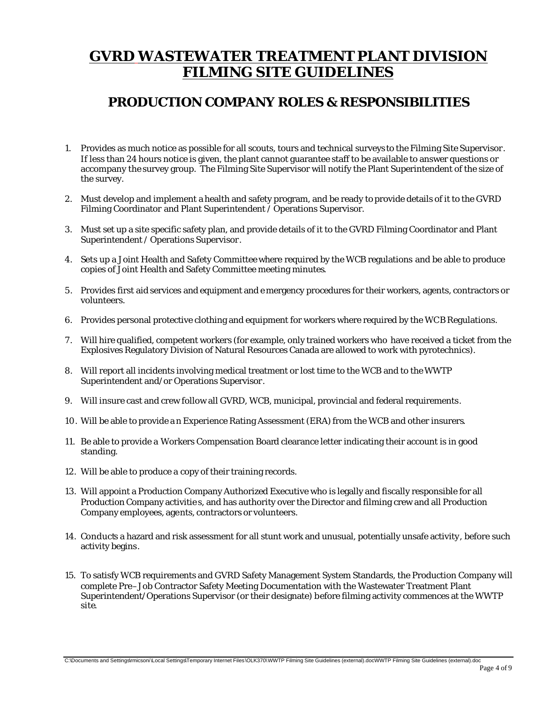# **GVRD WASTEWATER TREATMENT PLANT DIVISION FILMING SITE GUIDELINES**

### **PRODUCTION COMPANY ROLES & RESPONSIBILITIES**

- 1. Provides as much notice as possible for all scouts, tours and technical surveys to the Filming Site Supervisor. If less than 24 hours notice is given, the plant cannot guarantee staff to be available to answer questions or accompany the survey group. The Filming Site Supervisor will notify the Plant Superintendent of the size of the survey.
- 2. Must develop and implement a health and safety program, and be ready to provide details of it to the GVRD Filming Coordinator and Plant Superintendent / Operations Supervisor.
- 3. Must set up a site specific safety plan, and provide details of it to the GVRD Filming Coordinator and Plant Superintendent / Operations Supervisor.
- 4. Sets up a Joint Health and Safety Committee where required by the WCB regulations and be able to produce copies of Joint Health and Safety Committee meeting minutes.
- 5. Provides first aid services and equipment and e mergency procedures for their workers, agents, contractors or volunteers.
- 6. Provides personal protective clothing and equipment for workers where required by the WCB Regulations.
- 7. Will hire qualified, competent workers (for example, only trained workers who have received a ticket from the Explosives Regulatory Division of Natural Resources Canada are allowed to work with pyrotechnics).
- 8. Will report all incidents involving medical treatment or lost time to the WCB and to the WWTP Superintendent and/or Operations Supervisor.
- 9. Will insure cast and crew follow all GVRD, WCB, municipal, provincial and federal requirements.
- 10. Will be able to provide a n Experience Rating Assessment (ERA) from the WCB and other insurers.
- 11. Be able to provide a Workers Compensation Board clearance letter indicating their account is in good standing.
- 12. Will be able to produce a copy of their training records.
- 13. Will appoint a Production Company Authorized Executive who is legally and fiscally responsible for all Production Company activitie s, and has authority over the Director and filming crew and all Production Company employees, agents, contractors or volunteers.
- 14. Conducts a hazard and risk assessment for all stunt work and unusual, potentially unsafe activity, before such activity begins.
- 15. To satisfy WCB requirements and GVRD Safety Management System Standards, the Production Company will complete Pre–Job Contractor Safety Meeting Documentation with the Wastewater Treatment Plant Superintendent/Operations Supervisor (or their designate) before filming activity commences at the WWTP site.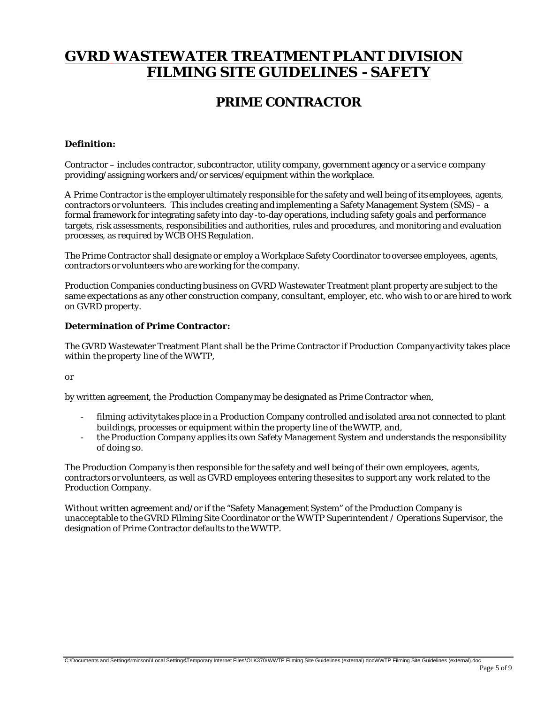# **GVRD WASTEWATER TREATMENT PLANT DIVISION FILMING SITE GUIDELINES - SAFETY**

### **PRIME CONTRACTOR**

#### **Definition:**

Contractor – includes contractor, subcontractor, utility company, government agency or a servic e company providing/assigning workers and/or services/equipment within the workplace.

A Prime Contractor is the employer ultimately responsible for the safety and well being of its employees, agents, contractors or volunteers. This includes creating and implementing a Safety Management System (SMS) – a formal framework for integrating safety into day -to-day operations, including safety goals and performance targets, risk assessments, responsibilities and authorities, rules and procedures, and monitoring and evaluation processes, as required by WCB OHS Regulation.

The Prime Contractor shall designate or employ a Workplace Safety Coordinator to oversee employees, agents, contractors or volunteers who are working for the company.

Production Companies conducting business on GVRD Wastewater Treatment plant property are subject to the same expectations as any other construction company, consultant, employer, etc. who wish to or are hired to work on GVRD property.

#### **Determination of Prime Contractor:**

The GVRD Wastewater Treatment Plant shall be the Prime Contractor if Production Company activity takes place within the property line of the WWTP,

or

by written agreement, the Production Company may be designated as Prime Contractor when,

- filming activity takes place in a Production Company controlled and isolated area not connected to plant buildings, processes or equipment within the property line of the WWTP, and,
- the Production Company applies its own Safety Management System and understands the responsibility of doing so.

The Production Company is then responsible for the safety and well being of their own employees, agents, contractors or volunteers, as well as GVRD employees entering these sites to support any work related to the Production Company.

Without written agreement and/or if the "Safety Management System" of the Production Company is unacceptable to the GVRD Filming Site Coordinator or the WWTP Superintendent / Operations Supervisor, the designation of Prime Contractor defaults to the WWTP.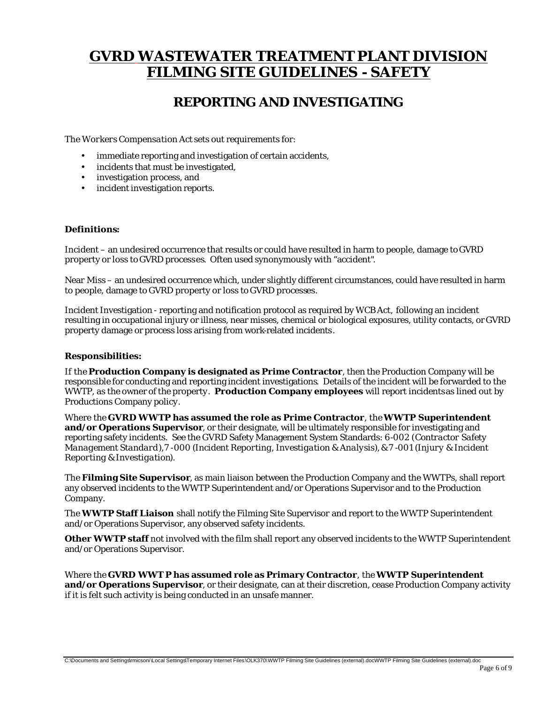## **GVRD WASTEWATER TREATMENT PLANT DIVISION FILMING SITE GUIDELINES - SAFETY**

### **REPORTING AND INVESTIGATING**

The *Workers Compensation Act* sets out requirements for:

- immediate reporting and investigation of certain accidents,
- incidents that must be investigated,
- investigation process, and
- incident investigation reports.

#### **Definitions:**

Incident – an undesired occurrence that results or could have resulted in harm to people, damage to GVRD property or loss to GVRD processes. Often used synonymously with "accident".

Near Miss – an undesired occurrence which, under slightly different circumstances, could have resulted in harm to people, damage to GVRD property or loss to GVRD processes.

Incident Investigation - reporting and notification protocol as required by WCB Act, following an incident resulting in occupational injury or illness, near misses, chemical or biological exposures, utility contacts, or GVRD property damage or process loss arising from work-related incidents.

#### **Responsibilities:**

If the **Production Company is designated as Prime Contractor**, then the Production Company will be responsible for conducting and reporting incident investigations. Details of the incident will be forwarded to the WWTP, as the owner of the property. **Production Company employees** will report incidents as lined out by Productions Company policy.

Where the **GVRD WWTP has assumed the role as Prime Contractor**, the **WWTP Superintendent and/or Operations Supervisor**, or their designate, will be ultimately responsible for investigating and reporting safety incidents. See the GVRD Safety Management System Standards: 6-002 (*Contractor Safety Management Standard*), 7 -000 (*Incident Reporting, Investigation & Analysis*), & 7 -001 (*Injury & Incident Reporting & Investigation*).

The **Filming Site Supervisor**, as main liaison between the Production Company and the WWTPs, shall report any observed incidents to the WWTP Superintendent and/or Operations Supervisor and to the Production Company.

The **WWTP Staff Liaison** shall notify the Filming Site Supervisor and report to the WWTP Superintendent and/or Operations Supervisor, any observed safety incidents.

**Other WWTP staff** not involved with the film shall report any observed incidents to the WWTP Superintendent and/or Operations Supervisor.

Where the **GVRD WWT P has assumed role as Primary Contractor**, the **WWTP Superintendent and/or Operations Supervisor**, or their designate, can at their discretion, cease Production Company activity if it is felt such activity is being conducted in an unsafe manner.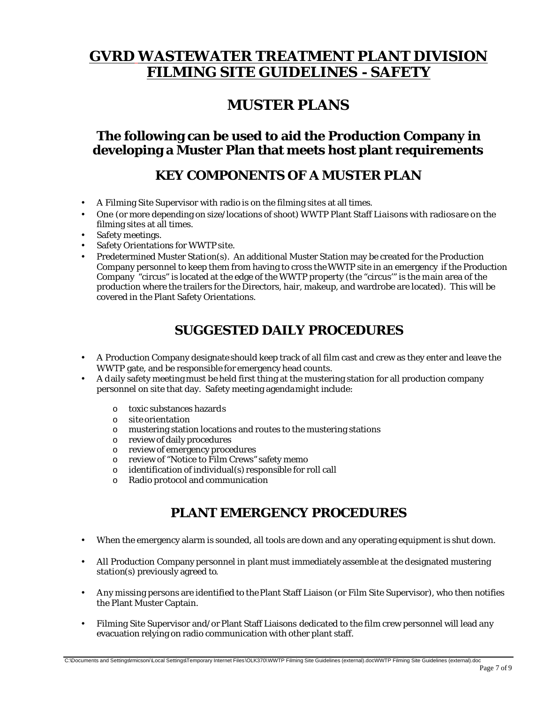# **GVRD WASTEWATER TREATMENT PLANT DIVISION FILMING SITE GUIDELINES - SAFETY**

## **MUSTER PLANS**

### **The following can be used to aid the Production Company in developing a Muster Plan that meets host plant requirements**

### **KEY COMPONENTS OF A MUSTER PLAN**

- A Filming Site Supervisor with radio is on the filming sites at all times.
- One (or more depending on size/locations of shoot) WWTP Plant Staff Liaisons with radios are on the filming sites at all times.
- Safety meetings.
- Safety Orientations for WWTP site.
- Predetermined Muster Station(s). An additional Muster Station may be created for the Production Company personnel to keep them from having to cross the WWTP site in an emergency if the Production Company "circus" is located at the edge of the WWTP property (the "circus'" is the main area of the production where the trailers for the Directors, hair, makeup, and wardrobe are located). This will be covered in the Plant Safety Orientations.

## **SUGGESTED DAILY PROCEDURES**

- A Production Company designate should keep track of all film cast and crew as they enter and leave the WWTP gate, and be responsible for emergency head counts.
- A daily safety meeting must be held first thing at the mustering station for all production company personnel on site that day. Safety meeting agenda might include:
	- o toxic substances hazards
	- o site orientation
	- o mustering station locations and routes to the mustering stations
	- o review of daily procedures
	- o review of emergency procedures
	- o review of "Notice to Film Crews" safety memo
	- o identification of individual(s) responsible for roll call
	- o Radio protocol and communication

### **PLANT EMERGENCY PROCEDURES**

- When the emergency alarm is sounded, all tools are down and any operating equipment is shut down.
- All Production Company personnel in plant must immediately assemble at the designated mustering station(s) previously agreed to.
- Any missing persons are identified to the Plant Staff Liaison (or Film Site Supervisor), who then notifies the Plant Muster Captain.
- Filming Site Supervisor and/or Plant Staff Liaisons dedicated to the film crew personnel will lead any evacuation relying on radio communication with other plant staff.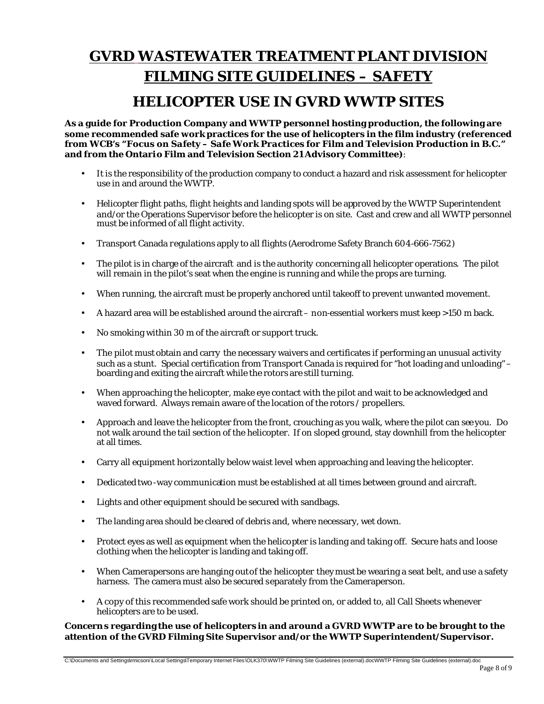# **GVRD WASTEWATER TREATMENT PLANT DIVISION FILMING SITE GUIDELINES – SAFETY**

## **HELICOPTER USE IN GVRD WWTP SITES**

**As a guide for Production Company and WWTP personnel hosting production, the following are some recommended safe work practices for the use of helicopters in the film industry (referenced from WCB's** *"Focus on Safety – Safe Work Practices for Film and Television Production in B.C."* **and from the Ontario Film and Television Section 21 Advisory Committee)**:

- It is the responsibility of the production company to conduct a hazard and risk assessment for helicopter use in and around the WWTP.
- Helicopter flight paths, flight heights and landing spots will be approved by the WWTP Superintendent and/or the Operations Supervisor before the helicopter is on site. Cast and crew and all WWTP personnel must be informed of all flight activity.
- Transport Canada regulations apply to all flights (Aerodrome Safety Branch 604-666-7562)
- The pilot is in charge of the aircraft and is the authority concerning all helicopter operations. The pilot will remain in the pilot's seat when the engine is running and while the props are turning.
- When running, the aircraft must be properly anchored until takeoff to prevent unwanted movement.
- A hazard area will be established around the aircraft non-essential workers must keep >150 m back.
- No smoking within 30 m of the aircraft or support truck.
- The pilot must obtain and carry the necessary waivers and certificates if performing an unusual activity such as a stunt. Special certification from Transport Canada is required for "hot loading and unloading" – boarding and exiting the aircraft while the rotors are still turning.
- When approaching the helicopter, make eye contact with the pilot and wait to be acknowledged and waved forward. Always remain aware of the location of the rotors / propellers.
- Approach and leave the helicopter from the front, crouching as you walk, where the pilot can see you. Do not walk around the tail section of the helicopter. If on sloped ground, stay downhill from the helicopter at all times.
- Carry all equipment horizontally below waist level when approaching and leaving the helicopter.
- Dedicated two -way communication must be established at all times between ground and aircraft.
- Lights and other equipment should be secured with sandbags.
- The landing area should be cleared of debris and, where necessary, wet down.
- Protect eyes as well as equipment when the helicopter is landing and taking off. Secure hats and loose clothing when the helicopter is landing and taking off.
- When Camerapersons are hanging out of the helicopter they must be wearing a seat belt, and use a safety harness. The camera must also be secured separately from the Cameraperson.
- A copy of this recommended safe work should be printed on, or added to, all Call Sheets whenever helicopters are to be used.

#### **Concerns regarding the use of helicopters in and around a GVRD WWTP are to be brought to the attention of the GVRD Filming Site Supervisor and/or the WWTP Superintendent/Supervisor.**